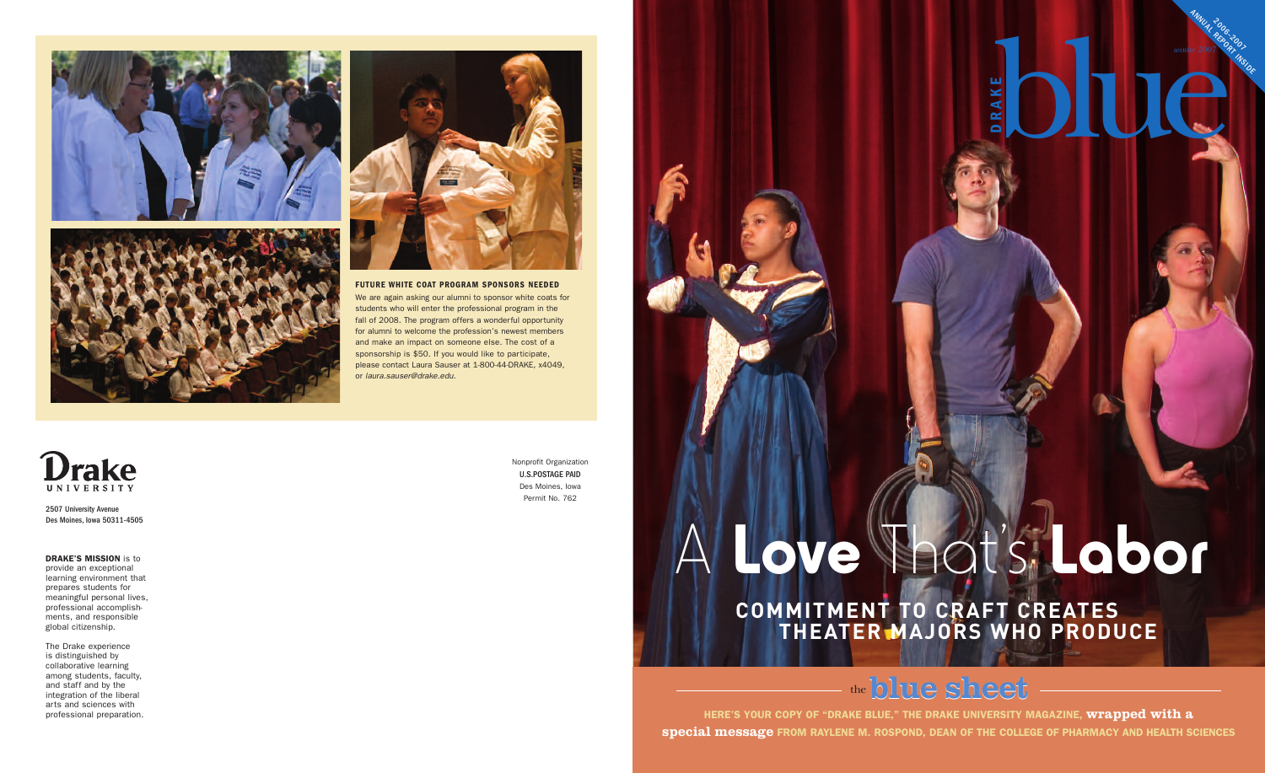*winter 2007*

ANNUAL

200<sub>6-2007</sub><br>REPOR<sup>2007</sup>

INSIDE

REPORT

# **COMMITMENT TO CRAFT CREATES THEATER MAJORS WHO PRODUCE** A **Love** That's **Labor**

 $\frac{1}{2}$ 

**HERE'S YOUR COPY OF "DRAKE BLUE," THE DRAKE UNIVERSITY MAGAZINE, wrapped with a special message FROM RAYLENE M. ROSPOND, DEAN OF THE COLLEGE OF PHARMACY AND HEALTH SCIENCES**

# the**blue sheet**

## **DRAKE'S MISSION** is to

provide an exceptional learning environment that prepares students for meaningful personal lives, professional accomplishments, and responsible global citizenship.

The Drake experience is distinguished by collaborative learning among students, faculty, and staff and by the integration of the liberal arts and sciences with professional preparation.

2507 University Avenue Des Moines, Iowa 50311-4505 Nonprofit Organization U.S.POSTAGE PAID Des Moines, Iowa Permit No. 762







### **FUTURE WHITE COAT PROGRAM SPONSORS NEEDED**

We are again asking our alumni to sponsor white coats for students who will enter the professional program in the fall of 2008. The program offers a wonderful opportunity for alumni to welcome the profession's newest members and make an impact on someone else. The cost of a sponsorship is \$50. If you would like to participate, please contact Laura Sauser at 1-800-44-DRAKE, x4049, or *laura.sauser@drake.edu.*